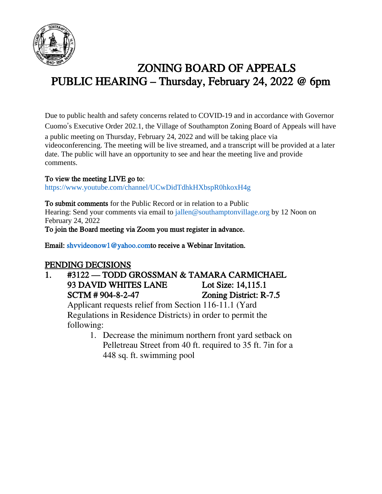

# ZONING BOARD OF APPEALS PUBLIC HEARING – Thursday, February 24, 2022 @ 6pm

Due to public health and safety concerns related to COVID-19 and in accordance with Governor Cuomo's Executive Order 202.1, the Village of Southampton Zoning Board of Appeals will have a public meeting on Thursday, February 24, 2022 and will be taking place via videoconferencing. The meeting will be live streamed, and a transcript will be provided at a later date. The public will have an opportunity to see and hear the meeting live and provide comments.

#### To view the meeting LIVE go to:

https://www.youtube.com/channel/UCwDidTdhkHXbspR0hkoxH4g

To submit comments for the Public Record or in relation to a Public Hearing: Send your comments via email to jallen@southamptonvillage.org by 12 Noon on February 24, 2022 To join the Board meeting via Zoom you must register in advance.

Email: shvvideonow1@yahoo.comto receive a Webinar Invitation.

# PENDING DECISIONS

1. #3122 — TODD GROSSMAN & TAMARA CARMICHAEL 93 DAVID WHITES LANE Lot Size: 14,115.1 SCTM # 904-8-2-47 Zoning District: R-7.5

Applicant requests relief from Section 116-11.1 (Yard Regulations in Residence Districts) in order to permit the following:

> 1. Decrease the minimum northern front yard setback on Pelletreau Street from 40 ft. required to 35 ft. 7in for a 448 sq. ft. swimming pool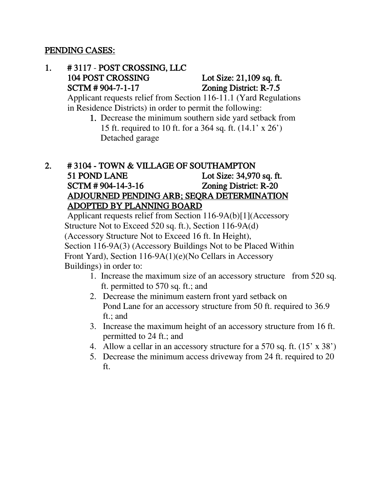#### PENDING CASES:

#### 1. # 3117 - POST CROSSING, LLC 104 POST CROSSING Lot Size: 21,109 sq. ft. SCTM # 904-7-1-17 Zoning District: R-7.5

 Applicant requests relief from Section 116-11.1 (Yard Regulations in Residence Districts) in order to permit the following:

1. Decrease the minimum southern side yard setback from 15 ft. required to 10 ft. for a 364 sq. ft. (14.1' x 26') Detached garage

### 2. # 3104 - TOWN & VILLAGE OF SOUTHAMPTON 51 POND LANE Lot Size: 34,970 sq. ft. SCTM # 904-14-3-16 Zoning District: R-20 ADJOURNED PENDING ARB; SEQRA DETERMINATION ADOPTED BY PLANNING BOARD

Applicant requests relief from Section 116-9A(b)[1](Accessory Structure Not to Exceed 520 sq. ft.), Section 116-9A(d) (Accessory Structure Not to Exceed 16 ft. In Height), Section 116-9A(3) (Accessory Buildings Not to be Placed Within Front Yard), Section 116-9A(1)(e)(No Cellars in Accessory Buildings) in order to:

- 1. Increase the maximum size of an accessory structure from 520 sq. ft. permitted to 570 sq. ft.; and
- 2. Decrease the minimum eastern front yard setback on Pond Lane for an accessory structure from 50 ft. required to 36.9 ft.; and
- 3. Increase the maximum height of an accessory structure from 16 ft. permitted to 24 ft.; and
- 4. Allow a cellar in an accessory structure for a 570 sq. ft. (15' x 38')
- 5. Decrease the minimum access driveway from 24 ft. required to 20 ft.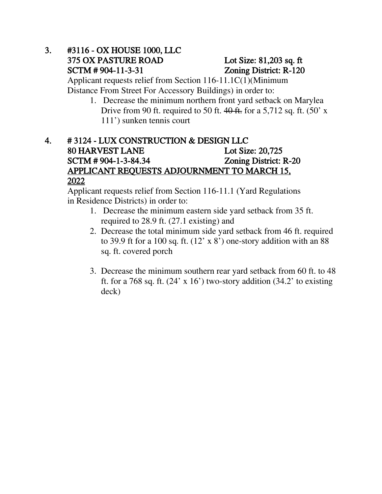## 3. #3116 - OX HOUSE 1000, LLC 375 OX PASTURE ROAD Lot Size: 81,203 sq. ft SCTM # 904-11-3-31 Zoning District: R-120

 Applicant requests relief from Section 116-11.1C(1)(Minimum Distance From Street For Accessory Buildings) in order to:

1. Decrease the minimum northern front yard setback on Marylea Drive from 90 ft. required to 50 ft.  $40$  ft. for a 5,712 sq. ft. (50' x) 111') sunken tennis court

### 4. # 3124 - LUX CONSTRUCTION & DESIGN LLC 80 HARVEST LANE Lot Size: 20,725 SCTM # 904-1-3-84.34 Zoning District: R-20 APPLICANT REQUESTS ADJOURNMENT TO MARCH 15, 2022

 Applicant requests relief from Section 116-11.1 (Yard Regulations in Residence Districts) in order to:

- 1. Decrease the minimum eastern side yard setback from 35 ft. required to 28.9 ft. (27.1 existing) and
- 2. Decrease the total minimum side yard setback from 46 ft. required to 39.9 ft for a 100 sq. ft.  $(12 \times 8)$  one-story addition with an 88 sq. ft. covered porch
- 3. Decrease the minimum southern rear yard setback from 60 ft. to 48 ft. for a 768 sq. ft.  $(24 \times 16')$  two-story addition  $(34.2 \text{ to existing})$ deck)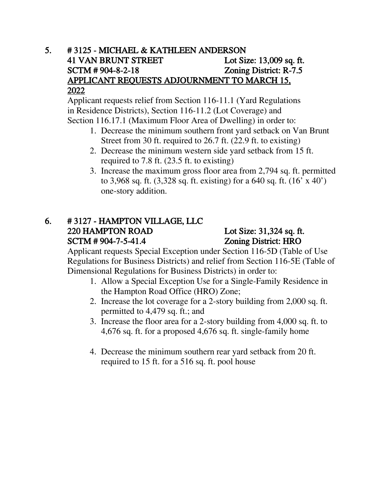### 5. # 3125 - MICHAEL & KATHLEEN ANDERSON 41 VAN BRUNT STREET Lot Size: 13,009 sq. ft. SCTM # 904-8-2-18 Zoning District: R-7.5 APPLICANT REQUESTS ADJOURNMENT TO MARCH 15, 2022

 Applicant requests relief from Section 116-11.1 (Yard Regulations in Residence Districts), Section 116-11.2 (Lot Coverage) and Section 116.17.1 (Maximum Floor Area of Dwelling) in order to:

- 1. Decrease the minimum southern front yard setback on Van Brunt Street from 30 ft. required to 26.7 ft. (22.9 ft. to existing)
- 2. Decrease the minimum western side yard setback from 15 ft. required to 7.8 ft. (23.5 ft. to existing)
- 3. Increase the maximum gross floor area from 2,794 sq. ft. permitted to 3,968 sq. ft. (3,328 sq. ft. existing) for a 640 sq. ft. (16' x 40') one-story addition.

### 6. # 3127 - HAMPTON VILLAGE, LLC 220 HAMPTON ROAD Lot Size: 31,324 sq. ft. SCTM # 904-7-5-41.4 Zoning District: HRO

Applicant requests Special Exception under Section 116-5D (Table of Use Regulations for Business Districts) and relief from Section 116-5E (Table of Dimensional Regulations for Business Districts) in order to:

- 1. Allow a Special Exception Use for a Single-Family Residence in the Hampton Road Office (HRO) Zone;
- 2. Increase the lot coverage for a 2-story building from 2,000 sq. ft. permitted to 4,479 sq. ft.; and
- 3. Increase the floor area for a 2-story building from 4,000 sq. ft. to 4,676 sq. ft. for a proposed 4,676 sq. ft. single-family home
- 4. Decrease the minimum southern rear yard setback from 20 ft. required to 15 ft. for a 516 sq. ft. pool house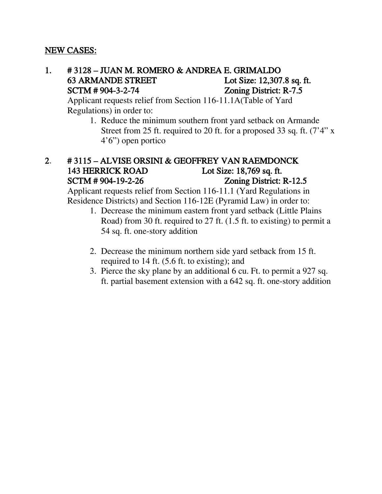#### NEW CASES:

### 1. # 3128 – JUAN M. ROMERO & ANDREA E. GRIMALDO 63 ARMANDE STREET Lot Size: 12,307.8 sq. ft. SCTM # 904-3-2-74 Zoning District: R-7.5

 Applicant requests relief from Section 116-11.1A(Table of Yard Regulations) in order to:

> 1. Reduce the minimum southern front yard setback on Armande Street from 25 ft. required to 20 ft. for a proposed 33 sq. ft. (7'4" x 4'6") open portico

#### 2. # 3115 – ALVISE ORSINI & GEOFFREY VAN RAEMDONCK 143 HERRICK ROAD Lot Size: 18,769 sq. ft. SCTM # 904-19-2-26 Zoning District: R-12.5

Applicant requests relief from Section 116-11.1 (Yard Regulations in Residence Districts) and Section 116-12E (Pyramid Law) in order to:

- 1. Decrease the minimum eastern front yard setback (Little Plains Road) from 30 ft. required to 27 ft. (1.5 ft. to existing) to permit a 54 sq. ft. one-story addition
- 2. Decrease the minimum northern side yard setback from 15 ft. required to 14 ft. (5.6 ft. to existing); and
- 3. Pierce the sky plane by an additional 6 cu. Ft. to permit a 927 sq. ft. partial basement extension with a 642 sq. ft. one-story addition